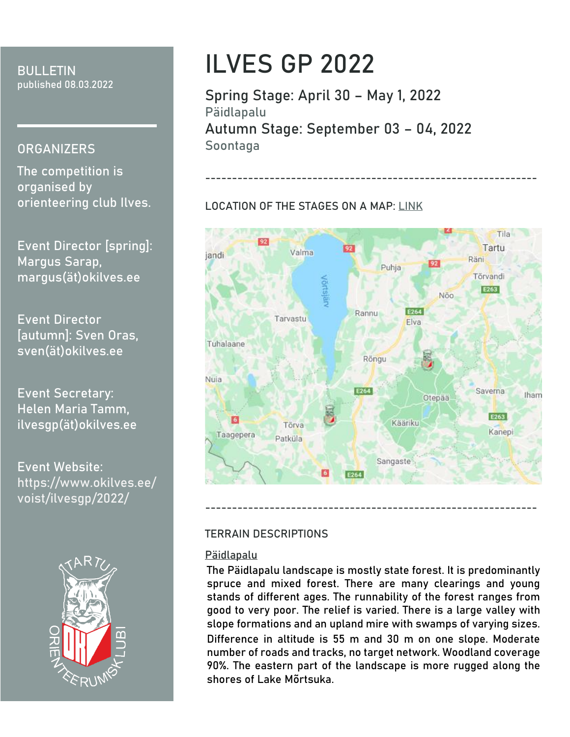**BULLETIN** published 08.03.2022

# **ORGANIZERS**

The competition is organised by orienteering club Ilves.

**Event Director [spring]:**  Margus Sarap, margus(ät)okilves.ee

**Event Director [autumn]:** Sven Oras, sven(ät)okilves.ee

**Event Secretary:** Helen Maria Tamm, ilvesgp(ät)okilves.ee

**Event Website:** [https://www.okilves.ee/](https://www.okilves.ee/voist/ilvesgp/2022/) [voist/ilvesgp/2022/](https://www.okilves.ee/voist/ilvesgp/2022/)



# **ILVES GP 2022**

**Spring Stage: April 30 – May 1, 2022 Päidlapalu Autumn Stage: September 03 – 04, 2022 Soontaga**

# **LOCATION OF THE STAGES ON A MAP: [LINK](https://www.google.com/maps/d/u/0/viewer?mid=1hNunFaoMiTqeEyv_G1mqxWs_VOKet7DE&ll=58.08090571781401%2C26.264713949999997&z=10)**



--------------------------------------------------------------

# **TERRAIN DESCRIPTIONS**

### **Päidlapalu**

The Päidlapalu landscape is mostly state forest. It is predominantly spruce and mixed forest. There are many clearings and young stands of different ages. The runnability of the forest ranges from good to very poor. The relief is varied. There is a large valley with slope formations and an upland mire with swamps of varying sizes. Difference in altitude is 55 m and 30 m on one slope. Moderate number of roads and tracks, no target network. Woodland coverage 90%. The eastern part of the landscape is more rugged along the shores of Lake Mõrtsuka.

--------------------------------------------------------------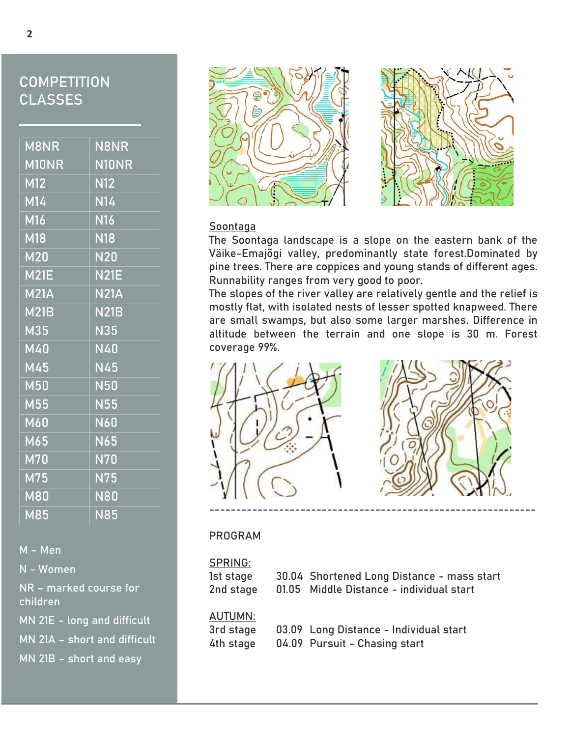# **COMPETITION CLASSES**

| M8NR                                          | <b>N8NR</b>             |
|-----------------------------------------------|-------------------------|
| $\overline{\mathsf{M10NR}}$                   | N10NR                   |
| M12                                           | N12                     |
| $M1\overline{4}$                              | <b>N14</b>              |
| M16                                           | <b>N16</b>              |
| $\overline{\mathsf{M}18}$                     | <b>N18</b>              |
| M20                                           | $\overline{\text{N20}}$ |
| <b>M21E</b>                                   | <b>N21E</b>             |
| M21A                                          | <b>N21A</b>             |
| <b>M21B</b>                                   | <b>N21B</b>             |
| $\overline{\text{M35}}$                       | <b>N35</b>              |
| $\overline{\mathsf{M}}4\overline{\mathsf{0}}$ | <b>N40</b>              |
| M45                                           | <b>N45</b>              |
| M50                                           | <b>N50</b>              |
| M55                                           | <b>N55</b>              |
| M60                                           | <b>N60</b>              |
| M65                                           | <b>N65</b>              |
| $M\overline{70}$                              | <b>N70</b>              |
| M75                                           | <b>N75</b>              |
| <b>M80</b>                                    | <b>N80</b>              |
| M85                                           | <b>N85</b>              |

M – Men

N - Women

NR – marked course for children

MN 21E – long and difficult

MN 21A – short and difficult

MN 21B – short and easy





## **Soontaga**

The Soontaga landscape is a slope on the eastern bank of the Väike-Emajõgi valley, predominantly state forest.Dominated by pine trees. There are coppices and young stands of different ages. Runnability ranges from very good to poor.

The slopes of the river valley are relatively gentle and the relief is mostly flat, with isolated nests of lesser spotted knapweed. There are small swamps, but also some larger marshes. Difference in altitude between the terrain and one slope is 30 m. Forest coverage 99%.



### **PROGRAM**

| SPRING:   |                                            |
|-----------|--------------------------------------------|
| 1st stage | 30.04 Shortened Long Distance - mass start |
| 2nd stage | 01.05 Middle Distance - individual start   |
| AUTUMN:   |                                            |
| 3rd stage | 03.09 Long Distance - Individual start     |
| 4th stage | 04.09 Pursuit - Chasing start              |